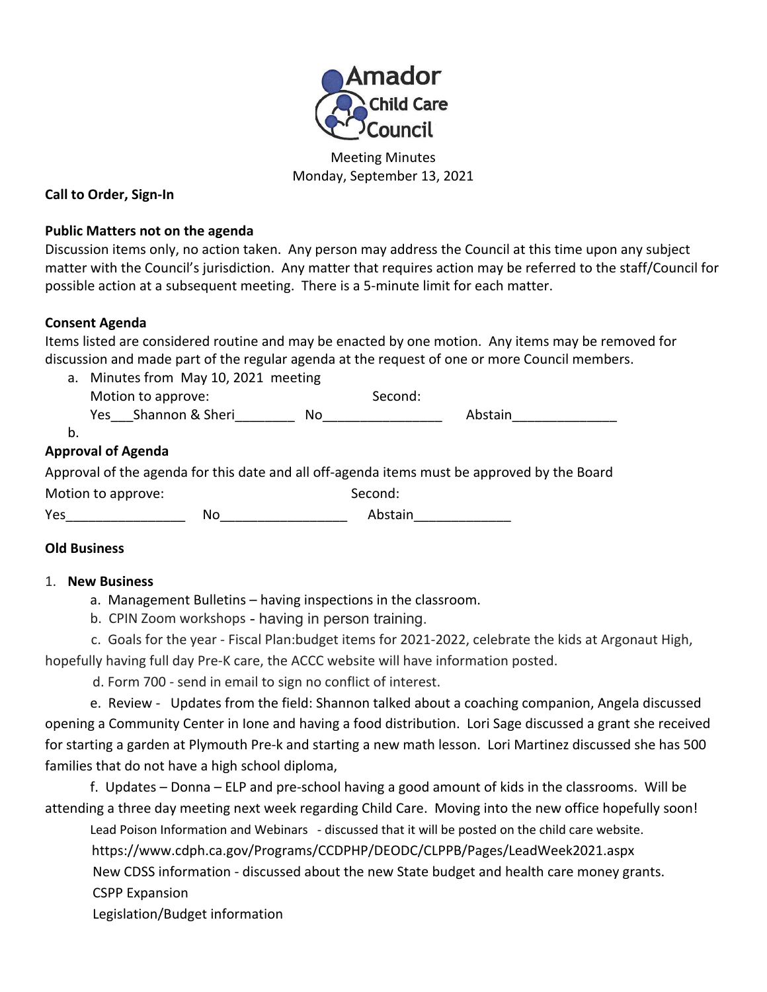

Meeting Minutes Monday, September 13, 2021

### **Call to Order, Sign-In**

#### **Public Matters not on the agenda**

Discussion items only, no action taken. Any person may address the Council at this time upon any subject matter with the Council's jurisdiction. Any matter that requires action may be referred to the staff/Council for possible action at a subsequent meeting. There is a 5-minute limit for each matter.

## **Consent Agenda**

Items listed are considered routine and may be enacted by one motion. Any items may be removed for discussion and made part of the regular agenda at the request of one or more Council members.

a. Minutes from May 10, 2021 meeting Motion to approve: Second: Second: Yes Shannon & Sheri No No and Abstain

b.

# **Approval of Agenda**

Approval of the agenda for this date and all off-agenda items must be approved by the Board

| Motion to approve: |    | Second: |
|--------------------|----|---------|
| Yes                | No | Abstain |

# **Old Business**

#### 1. **New Business**

a. Management Bulletins – having inspections in the classroom.

b. CPIN Zoom workshops - having in person training.

 c. Goals for the year - Fiscal Plan:budget items for 2021-2022, celebrate the kids at Argonaut High, hopefully having full day Pre-K care, the ACCC website will have information posted.

d. Form 700 - send in email to sign no conflict of interest.

e. Review - Updates from the field: Shannon talked about a coaching companion, Angela discussed opening a Community Center in Ione and having a food distribution. Lori Sage discussed a grant she received for starting a garden at Plymouth Pre-k and starting a new math lesson. Lori Martinez discussed she has 500 families that do not have a high school diploma,

f. Updates – Donna – ELP and pre-school having a good amount of kids in the classrooms. Will be attending a three day meeting next week regarding Child Care. Moving into the new office hopefully soon!

Lead Poison Information and Webinars - discussed that it will be posted on the child care website.

https://www.cdph.ca.gov/Programs/CCDPHP/DEODC/CLPPB/Pages/LeadWeek2021.aspx

 New CDSS information - discussed about the new State budget and health care money grants. CSPP Expansion

Legislation/Budget information